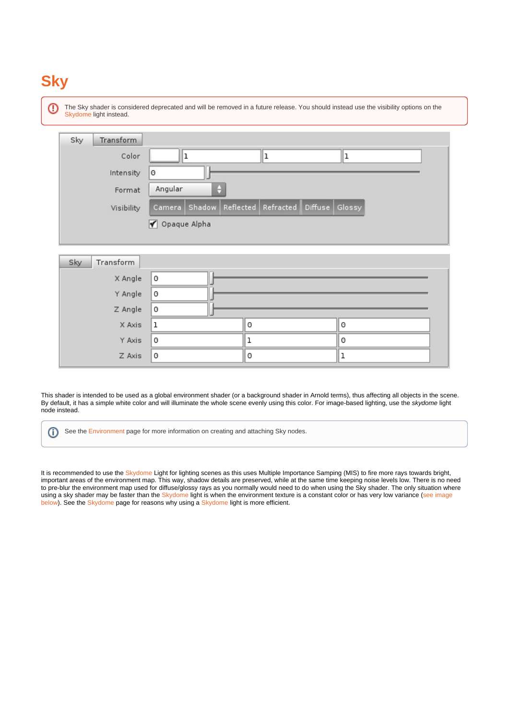# **Sky**

⋒ The Sky shader is considered deprecated and will be removed in a future release. You should instead use the visibility options on the [Skydome](https://docs.arnoldrenderer.com/display/A5AFHUG/Skydome+Light) light instead. Sky Transform Color ı lı ı Intensity  $\theta$ Angular Format Camera | Shadow | Reflected | Refracted | Diffuse | Glossy Visibility √ Opaque Alpha Sky Transform lo X Angle Y Angle 0

Z Angle  $\circ$  $\circ$ 0 X Axis  $\mathbf{1}$ Y Axis 0 1 0 0  $\circ$  $\mathbf 1$ Z Axis

This shader is intended to be used as a global environment shader (or a background shader in Arnold terms), thus affecting all objects in the scene. By default, it has a simple white color and will illuminate the whole scene evenly using this color. For image-based lighting, use the skydome light node instead.

See the [Environment](https://docs.arnoldrenderer.com/display/A5AFHUG/Environment) page for more information on creating and attaching Sky nodes.  $\odot$ 

It is recommended to use the [Skydome](https://docs.arnoldrenderer.com/display/A5AFHUG/Skydome+Light) Light for lighting scenes as this uses Multiple Importance Samping (MIS) to fire more rays towards bright, important areas of the environment map. This way, shadow details are preserved, while at the same time keeping noise levels low. There is no need to pre-blur the environment map used for diffuse/glossy rays as you normally would need to do when using the Sky shader. The only situation where using a sky shader may be faster than the [Skydome](https://docs.arnoldrenderer.com/display/A5AFHUG/Skydome+Light) light is when the environment texture is a constant color or has very low variance (see image below). See the [Skydome](https://docs.arnoldrenderer.com/display/A5AFHUG/Skydome+Light) page for reasons why using a [Skydome](https://docs.arnoldrenderer.com/display/A5AFHUG/Skydome+Light) light is more efficient.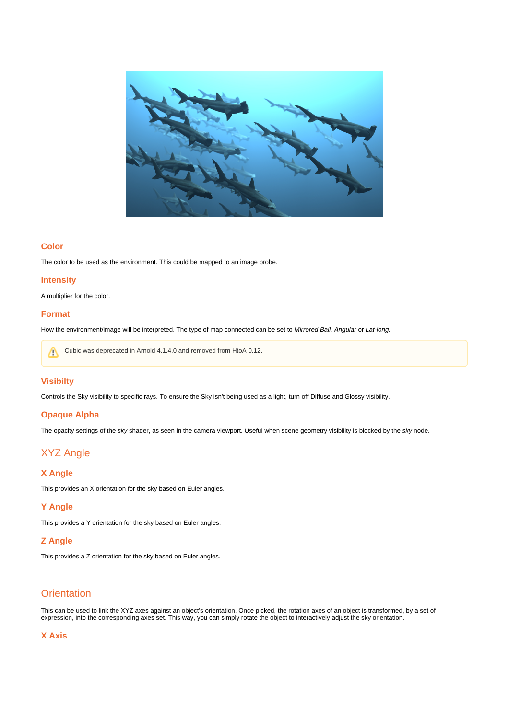

#### **Color**

The color to be used as the environment. This could be mapped to an image probe.

#### **Intensity**

A multiplier for the color.

#### **Format**

How the environment/image will be interpreted. The type of map connected can be set to Mirrored Ball, Angular or Lat-long.

Cubic was deprecated in Arnold 4.1.4.0 and removed from HtoA 0.12.Λ

## **Visibilty**

Controls the Sky visibility to specific rays. To ensure the Sky isn't being used as a light, turn off Diffuse and Glossy visibility.

#### **Opaque Alpha**

The opacity settings of the sky shader, as seen in the camera viewport. Useful when scene geometry visibility is blocked by the sky node.

# <span id="page-1-0"></span>[XYZ Angle](#page-1-0)

#### **X Angle**

This provides an X orientation for the sky based on Euler angles.

#### **Y Angle**

This provides a Y orientation for the sky based on Euler angles.

#### **Z Angle**

This provides a Z orientation for the sky based on Euler angles.

# <span id="page-1-1"></span>**[Orientation](#page-1-1)**

This can be used to link the XYZ axes against an object's orientation. Once picked, the rotation axes of an object is transformed, by a set of expression, into the corresponding axes set. This way, you can simply rotate the object to interactively adjust the sky orientation.

### **X Axis**